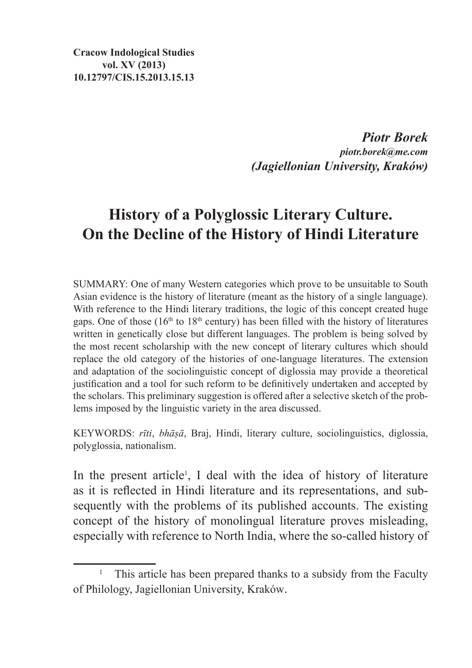**Cracow Indological Studies vol. XV (2013) 10.12797/CIS.15.2013.15.13**

> *Piotr Borek piotr.borek@me.com (Jagiellonian University, Kraków)*

# **History of a Polyglossic Literary Culture. On the Decline of the History of Hindi Literature**

SUMMARY: One of many Western categories which prove to be unsuitable to South Asian evidence is the history of literature (meant as the history of a single language). With reference to the Hindi literary traditions, the logic of this concept created huge gaps. One of those  $(16<sup>th</sup>$  to  $18<sup>th</sup>$  century) has been filled with the history of literatures written in genetically close but different languages. The problem is being solved by the most recent scholarship with the new concept of literary cultures which should replace the old category of the histories of one-language literatures. The extension and adaptation of the sociolinguistic concept of diglossia may provide a theoretical justification and a tool for such reform to be definitively undertaken and accepted by the scholars. This preliminary suggestion is offered after a selective sketch of the problems imposed by the linguistic variety in the area discussed.

KEYWORDS: *rīti*, *bhāṣā*, Braj, Hindi, literary culture, sociolinguistics, diglossia, polyglossia, nationalism.

In the present article<sup>1</sup>, I deal with the idea of history of literature as it is reflected in Hindi literature and its representations, and subsequently with the problems of its published accounts. The existing concept of the history of monolingual literature proves misleading, especially with reference to North India, where the so-called history of

<sup>&</sup>lt;sup>1</sup> This article has been prepared thanks to a subsidy from the Faculty of Philology, Jagiellonian University, Kraków.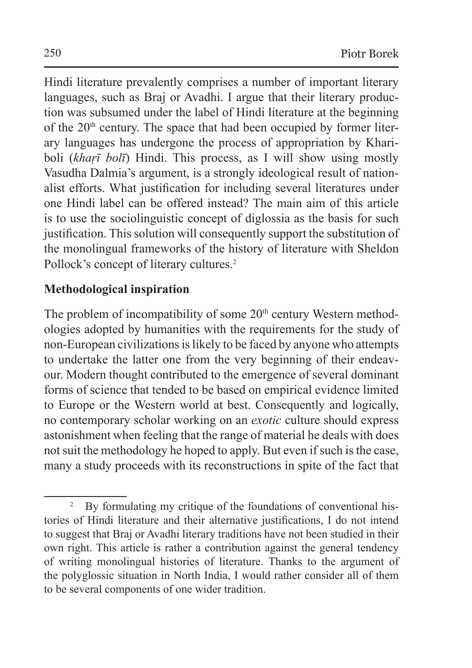Hindi literature prevalently comprises a number of important literary languages, such as Braj or Avadhi. I argue that their literary production was subsumed under the label of Hindi literature at the beginning of the  $20<sup>th</sup>$  century. The space that had been occupied by former literary languages has undergone the process of appropriation by Khariboli (*khaṛī bolī*) Hindi. This process, as I will show using mostly Vasudha Dalmia's argument, is a strongly ideological result of nationalist efforts. What justification for including several literatures under one Hindi label can be offered instead? The main aim of this article is to use the sociolinguistic concept of diglossia as the basis for such justification. This solution will consequently support the substitution of the monolingual frameworks of the history of literature with Sheldon Pollock's concept of literary cultures.<sup>2</sup>

## **Methodological inspiration**

The problem of incompatibility of some  $20<sup>th</sup>$  century Western methodologies adopted by humanities with the requirements for the study of non-European civilizations islikely to be faced by anyone who attempts to undertake the latter one from the very beginning of their endeavour. Modern thought contributed to the emergence of several dominant forms of science that tended to be based on empirical evidence limited to Europe or the Western world at best. Consequently and logically, no contemporary scholar working on an *exotic* culture should express astonishment when feeling that the range of material he deals with does not suit the methodology he hoped to apply. But even if such is the case, many a study proceeds with its reconstructions in spite of the fact that

<sup>&</sup>lt;sup>2</sup> By formulating my critique of the foundations of conventional histories of Hindi literature and their alternative justifications, I do not intend to suggest that Braj or Avadhi literary traditions have not been studied in their own right. This article is rather a contribution against the general tendency of writing monolingual histories of literature. Thanks to the argument of the polyglossic situation in North India, I would rather consider all of them to be several components of one wider tradition.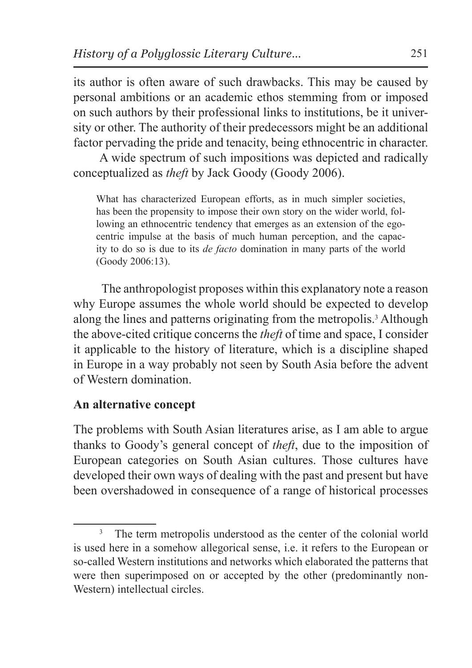its author is often aware of such drawbacks. This may be caused by personal ambitions or an academic ethos stemming from or imposed on such authors by their professional links to institutions, be it university or other. The authority of their predecessors might be an additional factor pervading the pride and tenacity, being ethnocentric in character.

A wide spectrum of such impositions was depicted and radically conceptualized as *theft* by Jack Goody (Goody 2006).

What has characterized European efforts, as in much simpler societies, has been the propensity to impose their own story on the wider world, following an ethnocentric tendency that emerges as an extension of the egocentric impulse at the basis of much human perception, and the capacity to do so is due to its *de facto* domination in many parts of the world (Goody 2006:13).

 The anthropologist proposes within this explanatory note a reason why Europe assumes the whole world should be expected to develop along the lines and patterns originating from the metropolis.<sup>3</sup> Although the above-cited critique concerns the *theft* of time and space, I consider it applicable to the history of literature, which is a discipline shaped in Europe in a way probably not seen by South Asia before the advent of Western domination.

## **An alternative concept**

The problems with South Asian literatures arise, as I am able to argue thanks to Goody's general concept of *theft*, due to the imposition of European categories on South Asian cultures. Those cultures have developed their own ways of dealing with the past and present but have been overshadowed in consequence of a range of historical processes

The term metropolis understood as the center of the colonial world is used here in a somehow allegorical sense, i.e. it refers to the European or so-called Western institutions and networks which elaborated the patterns that were then superimposed on or accepted by the other (predominantly non-Western) intellectual circles.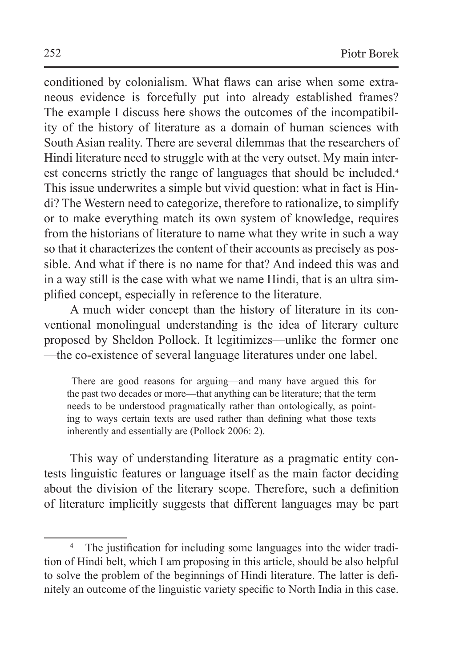conditioned by colonialism. What flaws can arise when some extraneous evidence is forcefully put into already established frames? The example I discuss here shows the outcomes of the incompatibility of the history of literature as a domain of human sciences with South Asian reality. There are several dilemmas that the researchers of Hindi literature need to struggle with at the very outset. My main interest concerns strictly the range of languages that should be included.<sup>4</sup> This issue underwrites a simple but vivid question: what in fact is Hindi? The Western need to categorize, therefore to rationalize, to simplify or to make everything match its own system of knowledge, requires from the historians of literature to name what they write in such a way so that it characterizes the content of their accounts as precisely as possible. And what if there is no name for that? And indeed this was and in a way still is the case with what we name Hindi, that is an ultra simplified concept, especially in reference to the literature.

A much wider concept than the history of literature in its conventional monolingual understanding is the idea of literary culture proposed by Sheldon Pollock. It legitimizes—unlike the former one —the co-existence of several language literatures under one label.

 There are good reasons for arguing—and many have argued this for the past two decades or more—that anything can be literature; that the term needs to be understood pragmatically rather than ontologically, as pointing to ways certain texts are used rather than defining what those texts inherently and essentially are (Pollock 2006: 2).

This way of understanding literature as a pragmatic entity contests linguistic features or language itself as the main factor deciding about the division of the literary scope. Therefore, such a definition of literature implicitly suggests that different languages may be part

The justification for including some languages into the wider tradition of Hindi belt, which I am proposing in this article, should be also helpful to solve the problem of the beginnings of Hindi literature. The latter is definitely an outcome of the linguistic variety specific to North India in this case.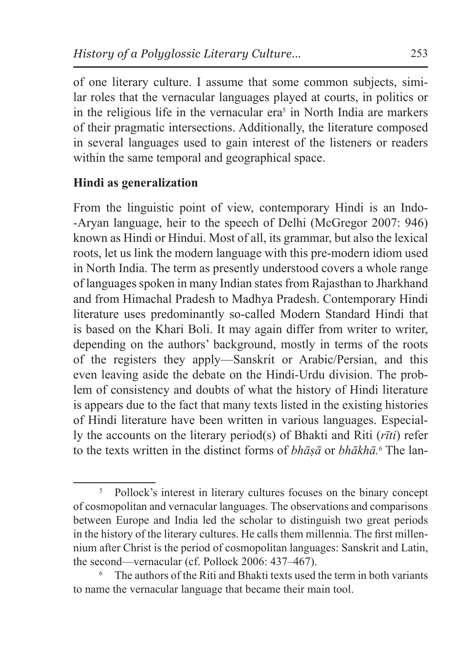of one literary culture. I assume that some common subjects, similar roles that the vernacular languages played at courts, in politics or in the religious life in the vernacular  $era<sup>5</sup>$  in North India are markers of their pragmatic intersections. Additionally, the literature composed in several languages used to gain interest of the listeners or readers within the same temporal and geographical space.

## **Hindi as generalization**

From the linguistic point of view, contemporary Hindi is an Indo-Aryan language, heir to the speech of Delhi (McGregor 2007: 946) known as Hindi or Hindui. Most of all, its grammar, but also the lexical roots, let us link the modern language with this pre-modern idiom used in North India. The term as presently understood covers a whole range of languages spoken in many Indian states from Rajasthan to Jharkhand and from Himachal Pradesh to Madhya Pradesh. Contemporary Hindi literature uses predominantly so-called Modern Standard Hindi that is based on the Khari Boli. It may again differ from writer to writer, depending on the authors' background, mostly in terms of the roots of the registers they apply—Sanskrit or Arabic/Persian, and this even leaving aside the debate on the Hindi-Urdu division. The problem of consistency and doubts of what the history of Hindi literature is appears due to the fact that many texts listed in the existing histories of Hindi literature have been written in various languages. Especially the accounts on the literary period(s) of Bhakti and Riti (*rīti*) refer to the texts written in the distinct forms of *bhāṣā* or *bhākhā.*<sup>6</sup> The lan-

<sup>&</sup>lt;sup>5</sup> Pollock's interest in literary cultures focuses on the binary concept of cosmopolitan and vernacular languages. The observations and comparisons between Europe and India led the scholar to distinguish two great periods in the history of the literary cultures. He calls them millennia. The first millennium after Christ is the period of cosmopolitan languages: Sanskrit and Latin, the second—vernacular (cf. Pollock 2006: 437–467).

The authors of the Riti and Bhakti texts used the term in both variants to name the vernacular language that became their main tool.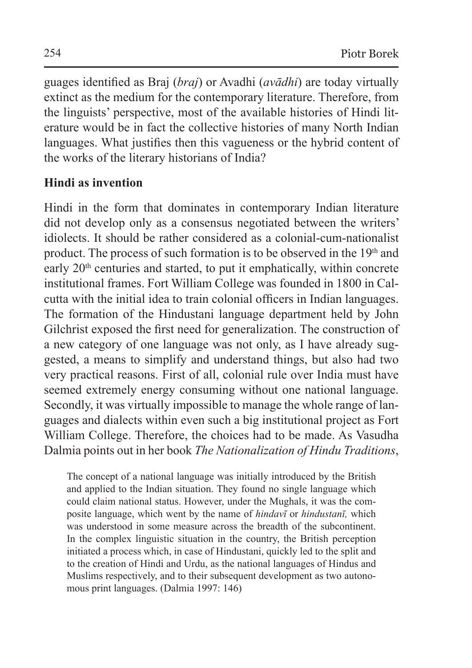guages identified as Braj (*braj*) or Avadhi (*avādhi*) are today virtually extinct as the medium for the contemporary literature. Therefore, from the linguists' perspective, most of the available histories of Hindi literature would be in fact the collective histories of many North Indian languages. What justifies then this vagueness or the hybrid content of the works of the literary historians of India?

## **Hindi as invention**

Hindi in the form that dominates in contemporary Indian literature did not develop only as a consensus negotiated between the writers' idiolects. It should be rather considered as a colonial-cum-nationalist product. The process of such formation is to be observed in the 19<sup>th</sup> and early 20<sup>th</sup> centuries and started, to put it emphatically, within concrete institutional frames. Fort William College was founded in 1800 in Calcutta with the initial idea to train colonial officers in Indian languages. The formation of the Hindustani language department held by John Gilchrist exposed the first need for generalization. The construction of a new category of one language was not only, as I have already suggested, a means to simplify and understand things, but also had two very practical reasons. First of all, colonial rule over India must have seemed extremely energy consuming without one national language. Secondly, it was virtually impossible to manage the whole range of languages and dialects within even such a big institutional project as Fort William College. Therefore, the choices had to be made. As Vasudha Dalmia points out in her book *The Nationalization of Hindu Traditions*,

The concept of a national language was initially introduced by the British and applied to the Indian situation. They found no single language which could claim national status. However, under the Mughals, it was the composite language, which went by the name of *hindavī* or *hindustanī,* which was understood in some measure across the breadth of the subcontinent. In the complex linguistic situation in the country, the British perception initiated a process which, in case of Hindustani, quickly led to the split and to the creation of Hindi and Urdu, as the national languages of Hindus and Muslims respectively, and to their subsequent development as two autonomous print languages. (Dalmia 1997: 146)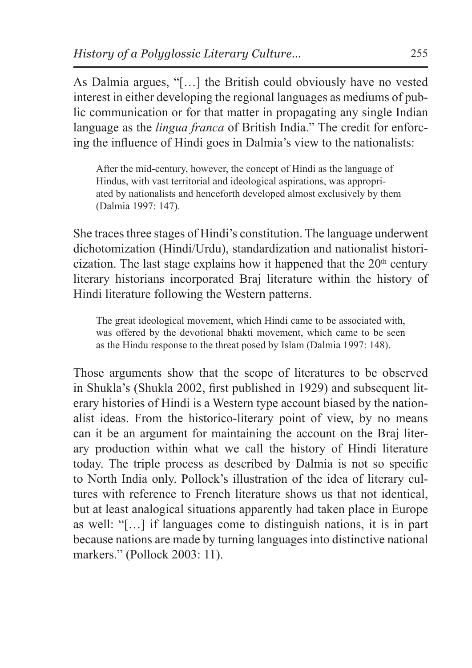As Dalmia argues, "[…] the British could obviously have no vested interest in either developing the regional languages as mediums of public communication or for that matter in propagating any single Indian language as the *lingua franca* of British India." The credit for enforcing the influence of Hindi goes in Dalmia's view to the nationalists:

After the mid-century, however, the concept of Hindi as the language of Hindus, with vast territorial and ideological aspirations, was appropriated by nationalists and henceforth developed almost exclusively by them (Dalmia 1997: 147).

She traces three stages of Hindi's constitution. The language underwent dichotomization (Hindi/Urdu), standardization and nationalist historicization. The last stage explains how it happened that the  $20<sup>th</sup>$  century literary historians incorporated Braj literature within the history of Hindi literature following the Western patterns.

The great ideological movement, which Hindi came to be associated with, was offered by the devotional bhakti movement, which came to be seen as the Hindu response to the threat posed by Islam (Dalmia 1997: 148).

Those arguments show that the scope of literatures to be observed in Shukla's (Shukla 2002, first published in 1929) and subsequent literary histories of Hindi is a Western type account biased by the nationalist ideas. From the historico-literary point of view, by no means can it be an argument for maintaining the account on the Braj literary production within what we call the history of Hindi literature today. The triple process as described by Dalmia is not so specific to North India only. Pollock's illustration of the idea of literary cultures with reference to French literature shows us that not identical, but at least analogical situations apparently had taken place in Europe as well: "[…] if languages come to distinguish nations, it is in part because nations are made by turning languages into distinctive national markers." (Pollock 2003: 11).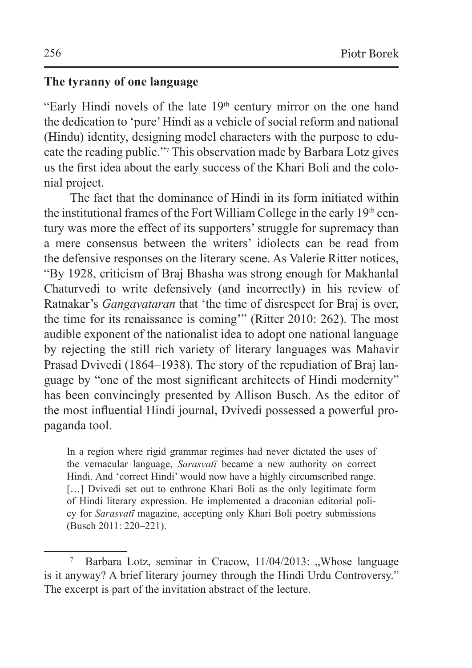#### **The tyranny of one language**

"Early Hindi novels of the late  $19<sup>th</sup>$  century mirror on the one hand the dedication to 'pure' Hindi as a vehicle of social reform and national (Hindu) identity, designing model characters with the purpose to educate the reading public."<sup>7</sup> This observation made by Barbara Lotz gives us the first idea about the early success of the Khari Boli and the colonial project.

The fact that the dominance of Hindi in its form initiated within the institutional frames of the Fort William College in the early 19<sup>th</sup> century was more the effect of its supporters' struggle for supremacy than a mere consensus between the writers' idiolects can be read from the defensive responses on the literary scene. As Valerie Ritter notices, "By 1928, criticism of Braj Bhasha was strong enough for Makhanlal Chaturvedi to write defensively (and incorrectly) in his review of Ratnakar's *Gangavataran* that 'the time of disrespect for Braj is over, the time for its renaissance is coming'" (Ritter 2010: 262). The most audible exponent of the nationalist idea to adopt one national language by rejecting the still rich variety of literary languages was Mahavir Prasad Dvivedi (1864–1938). The story of the repudiation of Braj language by "one of the most significant architects of Hindi modernity" has been convincingly presented by Allison Busch. As the editor of the most influential Hindi journal, Dvivedi possessed a powerful propaganda tool.

In a region where rigid grammar regimes had never dictated the uses of the vernacular language, *Sarasvatī* became a new authority on correct Hindi. And 'correct Hindi' would now have a highly circumscribed range. [...] Dvivedi set out to enthrone Khari Boli as the only legitimate form of Hindi literary expression. He implemented a draconian editorial policy for *Sarasvatī* magazine, accepting only Khari Boli poetry submissions (Busch 2011: 220–221).

Barbara Lotz, seminar in Cracow, 11/04/2013: "Whose language is it anyway? A brief literary journey through the Hindi Urdu Controversy." The excerpt is part of the invitation abstract of the lecture.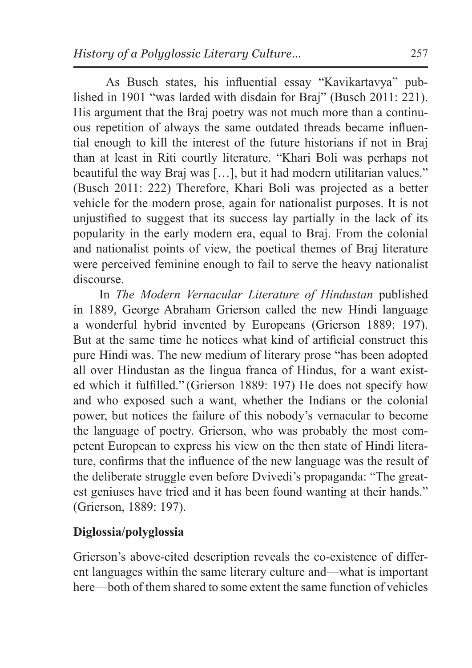As Busch states, his influential essay "Kavikartavya" published in 1901 "was larded with disdain for Braj" (Busch 2011: 221). His argument that the Braj poetry was not much more than a continuous repetition of always the same outdated threads became influential enough to kill the interest of the future historians if not in Braj than at least in Riti courtly literature. "Khari Boli was perhaps not beautiful the way Braj was […], but it had modern utilitarian values." (Busch 2011: 222) Therefore, Khari Boli was projected as a better vehicle for the modern prose, again for nationalist purposes. It is not unjustified to suggest that its success lay partially in the lack of its popularity in the early modern era, equal to Braj. From the colonial and nationalist points of view, the poetical themes of Braj literature were perceived feminine enough to fail to serve the heavy nationalist discourse.

In *The Modern Vernacular Literature of Hindustan* published in 1889, George Abraham Grierson called the new Hindi language a wonderful hybrid invented by Europeans (Grierson 1889: 197). But at the same time he notices what kind of artificial construct this pure Hindi was. The new medium of literary prose "has been adopted all over Hindustan as the lingua franca of Hindus, for a want existed which it fulfilled." (Grierson 1889: 197) He does not specify how and who exposed such a want, whether the Indians or the colonial power, but notices the failure of this nobody's vernacular to become the language of poetry. Grierson, who was probably the most competent European to express his view on the then state of Hindi literature, confirms that the influence of the new language was the result of the deliberate struggle even before Dvivedi's propaganda: "The greatest geniuses have tried and it has been found wanting at their hands." (Grierson, 1889: 197).

## **Diglossia/polyglossia**

Grierson's above-cited description reveals the co-existence of different languages within the same literary culture and—what is important here—both of them shared to some extent the same function of vehicles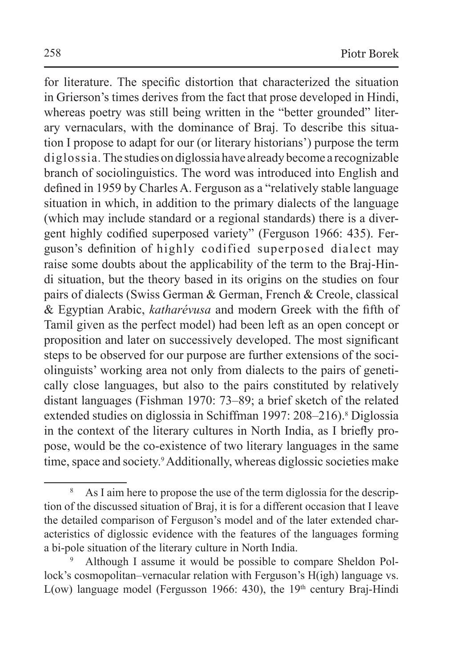for literature. The specific distortion that characterized the situation in Grierson's times derives from the fact that prose developed in Hindi, whereas poetry was still being written in the "better grounded" literary vernaculars, with the dominance of Braj. To describe this situation I propose to adapt for our (or literary historians') purpose the term diglossia*.* The studies on diglossia have already become a recognizable branch of sociolinguistics. The word was introduced into English and defined in 1959 by Charles A. Ferguson as a "relatively stable language situation in which, in addition to the primary dialects of the language (which may include standard or a regional standards) there is a divergent highly codified superposed variety" (Ferguson 1966: 435). Ferguson's definition of highly codified superposed dialect may raise some doubts about the applicability of the term to the Braj-Hindi situation, but the theory based in its origins on the studies on four pairs of dialects (Swiss German & German, French & Creole, classical & Egyptian Arabic, *katharévusa* and modern Greek with the fifth of Tamil given as the perfect model) had been left as an open concept or proposition and later on successively developed. The most significant steps to be observed for our purpose are further extensions of the sociolinguists' working area not only from dialects to the pairs of genetically close languages, but also to the pairs constituted by relatively distant languages (Fishman 1970: 73–89; a brief sketch of the related extended studies on diglossia in Schiffman 1997: 208–216).<sup>8</sup> Diglossia in the context of the literary cultures in North India, as I briefly propose, would be the co-existence of two literary languages in the same time, space and society.<sup>9</sup> Additionally, whereas diglossic societies make

<sup>&</sup>lt;sup>8</sup> As I aim here to propose the use of the term diglossia for the description of the discussed situation of Braj, it is for a different occasion that I leave the detailed comparison of Ferguson's model and of the later extended characteristics of diglossic evidence with the features of the languages forming a bi-pole situation of the literary culture in North India.

<sup>9</sup> Although I assume it would be possible to compare Sheldon Pollock's cosmopolitan–vernacular relation with Ferguson's H(igh) language vs. L(ow) language model (Fergusson 1966: 430), the  $19<sup>th</sup>$  century Braj-Hindi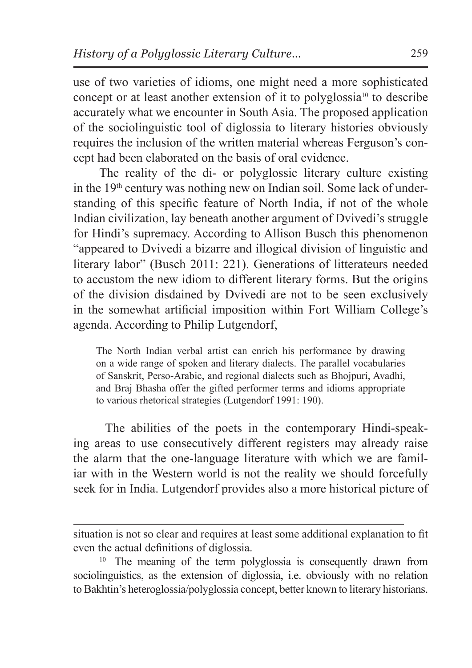use of two varieties of idioms, one might need a more sophisticated concept or at least another extension of it to polyglossia10 to describe accurately what we encounter in South Asia. The proposed application of the sociolinguistic tool of diglossia to literary histories obviously requires the inclusion of the written material whereas Ferguson's concept had been elaborated on the basis of oral evidence.

The reality of the di- or polyglossic literary culture existing in the 19th century was nothing new on Indian soil. Some lack of understanding of this specific feature of North India, if not of the whole Indian civilization, lay beneath another argument of Dvivedi's struggle for Hindi's supremacy. According to Allison Busch this phenomenon "appeared to Dvivedi a bizarre and illogical division of linguistic and literary labor" (Busch 2011: 221). Generations of litterateurs needed to accustom the new idiom to different literary forms. But the origins of the division disdained by Dvivedi are not to be seen exclusively in the somewhat artificial imposition within Fort William College's agenda. According to Philip Lutgendorf,

The North Indian verbal artist can enrich his performance by drawing on a wide range of spoken and literary dialects. The parallel vocabularies of Sanskrit, Perso-Arabic, and regional dialects such as Bhojpuri, Avadhi, and Braj Bhasha offer the gifted performer terms and idioms appropriate to various rhetorical strategies (Lutgendorf 1991: 190).

 The abilities of the poets in the contemporary Hindi-speaking areas to use consecutively different registers may already raise the alarm that the one-language literature with which we are familiar with in the Western world is not the reality we should forcefully seek for in India. Lutgendorf provides also a more historical picture of

situation is not so clear and requires at least some additional explanation to fit even the actual definitions of diglossia.

<sup>10</sup> The meaning of the term polyglossia is consequently drawn from sociolinguistics, as the extension of diglossia, i.e. obviously with no relation to Bakhtin's heteroglossia/polyglossia concept, better known to literary historians.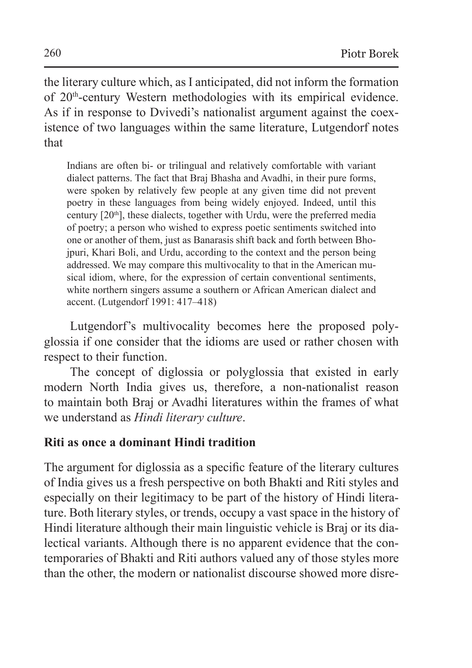the literary culture which, as I anticipated, did not inform the formation of 20<sup>th</sup>-century Western methodologies with its empirical evidence. As if in response to Dvivedi's nationalist argument against the coexistence of two languages within the same literature, Lutgendorf notes that

Indians are often bi- or trilingual and relatively comfortable with variant dialect patterns. The fact that Braj Bhasha and Avadhi, in their pure forms, were spoken by relatively few people at any given time did not prevent poetry in these languages from being widely enjoyed. Indeed, until this century  $[20<sup>th</sup>]$ , these dialects, together with Urdu, were the preferred media of poetry; a person who wished to express poetic sentiments switched into one or another of them, just as Banarasis shift back and forth between Bhojpuri, Khari Boli, and Urdu, according to the context and the person being addressed. We may compare this multivocality to that in the American musical idiom, where, for the expression of certain conventional sentiments, white northern singers assume a southern or African American dialect and accent. (Lutgendorf 1991: 417–418)

Lutgendorf's multivocality becomes here the proposed polyglossia if one consider that the idioms are used or rather chosen with respect to their function.

The concept of diglossia or polyglossia that existed in early modern North India gives us, therefore, a non-nationalist reason to maintain both Braj or Avadhi literatures within the frames of what we understand as *Hindi literary culture*.

## **Riti as once a dominant Hindi tradition**

The argument for diglossia as a specific feature of the literary cultures of India gives us a fresh perspective on both Bhakti and Riti styles and especially on their legitimacy to be part of the history of Hindi literature. Both literary styles, or trends, occupy a vast space in the history of Hindi literature although their main linguistic vehicle is Braj or its dialectical variants. Although there is no apparent evidence that the contemporaries of Bhakti and Riti authors valued any of those styles more than the other, the modern or nationalist discourse showed more disre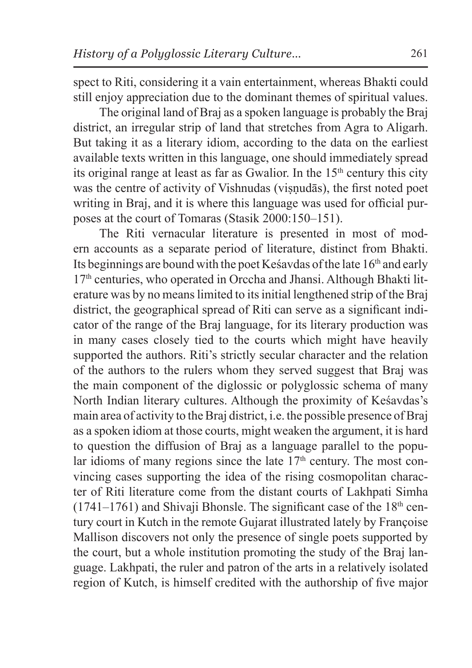spect to Riti, considering it a vain entertainment, whereas Bhakti could still enjoy appreciation due to the dominant themes of spiritual values.

The original land of Braj as a spoken language is probably the Braj district, an irregular strip of land that stretches from Agra to Aligarh. But taking it as a literary idiom, according to the data on the earliest available texts written in this language, one should immediately spread its original range at least as far as Gwalior. In the  $15<sup>th</sup>$  century this city was the centre of activity of Vishnudas (visnudās), the first noted poet writing in Braj, and it is where this language was used for official purposes at the court of Tomaras (Stasik 2000:150–151).

The Riti vernacular literature is presented in most of modern accounts as a separate period of literature, distinct from Bhakti. Its beginnings are bound with the poet Kesavdas of the late  $16<sup>th</sup>$  and early 17th centuries, who operated in Orccha and Jhansi. Although Bhakti literature was by no means limited to its initial lengthened strip of the Braj district, the geographical spread of Riti can serve as a significant indicator of the range of the Braj language, for its literary production was in many cases closely tied to the courts which might have heavily supported the authors. Riti's strictly secular character and the relation of the authors to the rulers whom they served suggest that Braj was the main component of the diglossic or polyglossic schema of many North Indian literary cultures. Although the proximity of Keśavdas's main area of activity to theBraj district, i.e. the possible presence of Braj as a spoken idiom at those courts, might weaken the argument, it is hard to question the diffusion of Braj as a language parallel to the popular idioms of many regions since the late  $17<sup>th</sup>$  century. The most convincing cases supporting the idea of the rising cosmopolitan character of Riti literature come from the distant courts of Lakhpati Simha  $(1741-1761)$  and Shivaji Bhonsle. The significant case of the 18<sup>th</sup> century court in Kutch in the remote Gujarat illustrated lately by Françoise Mallison discovers not only the presence of single poets supported by the court, but a whole institution promoting the study of the Braj language. Lakhpati, the ruler and patron of the arts in a relatively isolated region of Kutch, is himself credited with the authorship of five major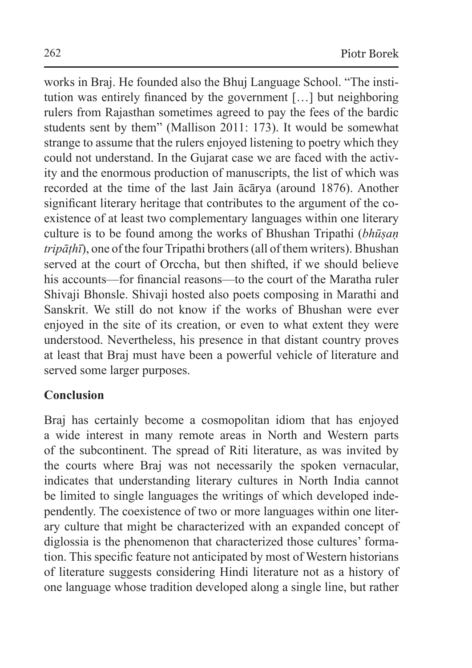works in Braj. He founded also the Bhuj Language School. "The institution was entirely financed by the government […] but neighboring rulers from Rajasthan sometimes agreed to pay the fees of the bardic students sent by them" (Mallison 2011: 173). It would be somewhat strange to assume that the rulers enjoyed listening to poetry which they could not understand. In the Gujarat case we are faced with the activity and the enormous production of manuscripts, the list of which was recorded at the time of the last Jain ācārya (around 1876). Another significant literary heritage that contributes to the argument of the coexistence of at least two complementary languages within one literary culture is to be found among the works of Bhushan Tripathi (*bhūṣaṇ tripāṭhī*), one of the four Tripathi brothers (all of them writers). Bhushan served at the court of Orccha, but then shifted, if we should believe his accounts—for financial reasons—to the court of the Maratha ruler Shivaji Bhonsle. Shivaji hosted also poets composing in Marathi and Sanskrit. We still do not know if the works of Bhushan were ever enjoyed in the site of its creation, or even to what extent they were understood. Nevertheless, his presence in that distant country proves at least that Braj must have been a powerful vehicle of literature and served some larger purposes.

### **Conclusion**

Braj has certainly become a cosmopolitan idiom that has enjoyed a wide interest in many remote areas in North and Western parts of the subcontinent. The spread of Riti literature, as was invited by the courts where Braj was not necessarily the spoken vernacular, indicates that understanding literary cultures in North India cannot be limited to single languages the writings of which developed independently. The coexistence of two or more languages within one literary culture that might be characterized with an expanded concept of diglossia is the phenomenon that characterized those cultures' formation. This specific feature not anticipated by most of Western historians of literature suggests considering Hindi literature not as a history of one language whose tradition developed along a single line, but rather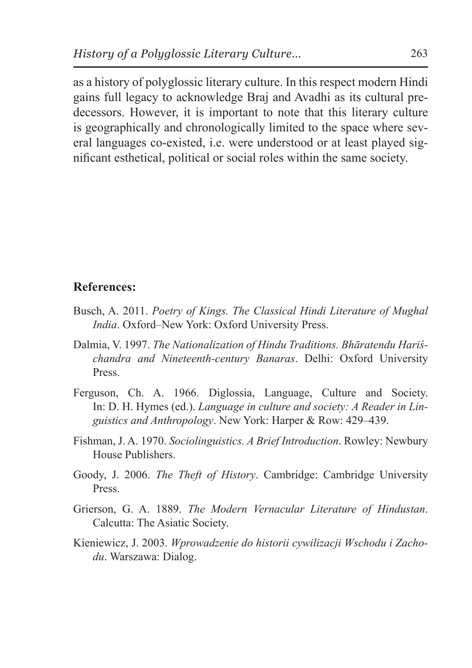as a history of polyglossic literary culture. In this respect modern Hindi gains full legacy to acknowledge Braj and Avadhi as its cultural predecessors. However, it is important to note that this literary culture is geographically and chronologically limited to the space where several languages co-existed, i.e. were understood or at least played significant esthetical, political or social roles within the same society.

#### **References:**

- Busch, A. 2011. *Poetry of Kings. The Classical Hindi Literature of Mughal India*. Oxford–New York: Oxford University Press.
- Dalmia, V. 1997. *The Nationalization of Hindu Traditions. Bhāratendu Hariśchandra and Nineteenth-century Banaras*. Delhi: Oxford University Press.
- Ferguson, Ch. A. 1966. Diglossia, Language, Culture and Society. In: D. H. Hymes (ed.). *Language in culture and society: A Reader in Linguistics and Anthropology*. New York: Harper & Row: 429–439.
- Fishman, J. A. 1970. *Sociolinguistics. A Brief Introduction*. Rowley: Newbury House Publishers.
- Goody, J. 2006. *The Theft of History*. Cambridge: Cambridge University Press.
- Grierson, G. A. 1889. *The Modern Vernacular Literature of Hindustan*. Calcutta: The Asiatic Society.
- Kieniewicz, J. 2003. *Wprowadzenie do historii cywilizacji Wschodu i Zachodu*. Warszawa: Dialog.